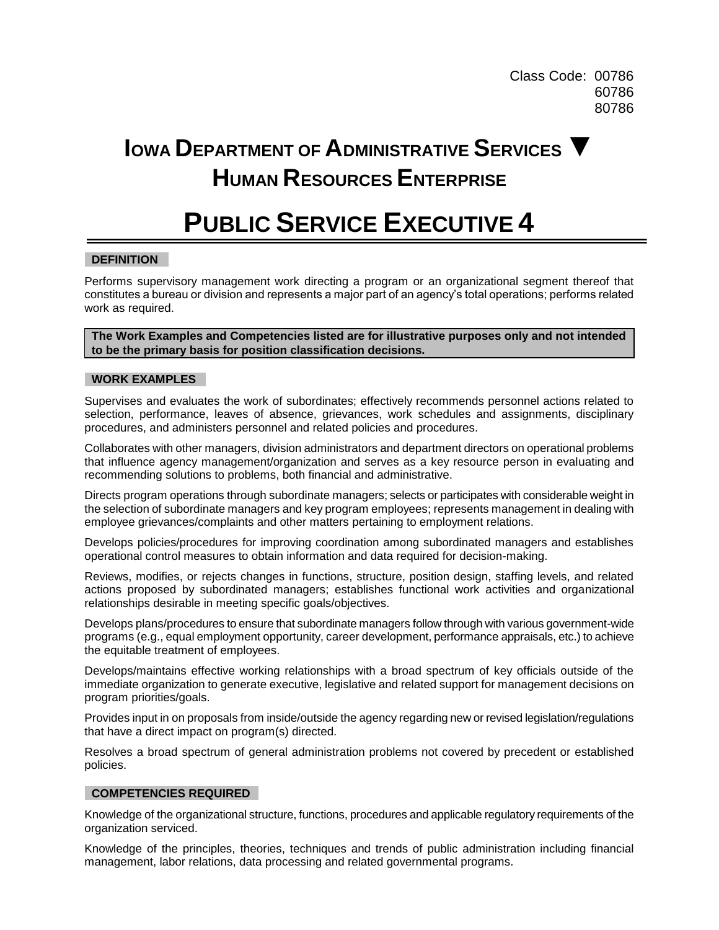Class Code: 00786 60786 80786

# **IOWA DEPARTMENT OF ADMINISTRATIVE SERVICES ▼ HUMAN RESOURCES ENTERPRISE**

## **PUBLIC SERVICE EXECUTIVE 4**

## **DEFINITION**

Performs supervisory management work directing a program or an organizational segment thereof that constitutes a bureau or division and represents a major part of an agency's total operations; performs related work as required.

**The Work Examples and Competencies listed are for illustrative purposes only and not intended to be the primary basis for position classification decisions.**

#### **WORK EXAMPLES**

Supervises and evaluates the work of subordinates; effectively recommends personnel actions related to selection, performance, leaves of absence, grievances, work schedules and assignments, disciplinary procedures, and administers personnel and related policies and procedures.

Collaborates with other managers, division administrators and department directors on operational problems that influence agency management/organization and serves as a key resource person in evaluating and recommending solutions to problems, both financial and administrative.

Directs program operations through subordinate managers; selects or participates with considerable weight in the selection of subordinate managers and key program employees; represents management in dealing with employee grievances/complaints and other matters pertaining to employment relations.

Develops policies/procedures for improving coordination among subordinated managers and establishes operational control measures to obtain information and data required for decision-making.

Reviews, modifies, or rejects changes in functions, structure, position design, staffing levels, and related actions proposed by subordinated managers; establishes functional work activities and organizational relationships desirable in meeting specific goals/objectives.

Develops plans/procedures to ensure that subordinate managers follow through with various government-wide programs (e.g., equal employment opportunity, career development, performance appraisals, etc.) to achieve the equitable treatment of employees.

Develops/maintains effective working relationships with a broad spectrum of key officials outside of the immediate organization to generate executive, legislative and related support for management decisions on program priorities/goals.

Provides input in on proposals from inside/outside the agency regarding new or revised legislation/regulations that have a direct impact on program(s) directed.

Resolves a broad spectrum of general administration problems not covered by precedent or established policies.

## **COMPETENCIES REQUIRED**

Knowledge of the organizational structure, functions, procedures and applicable regulatory requirements of the organization serviced.

Knowledge of the principles, theories, techniques and trends of public administration including financial management, labor relations, data processing and related governmental programs.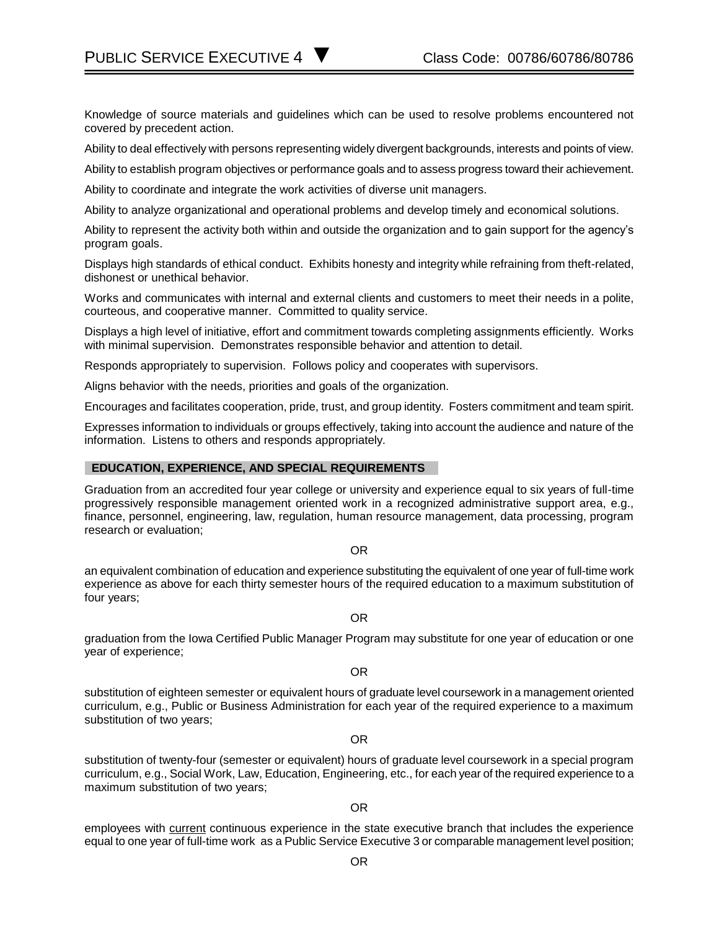PUBLIC SERVICE EXECUTIVE 4 ■ Class Code: 00786/60786/80786

Knowledge of source materials and guidelines which can be used to resolve problems encountered not covered by precedent action.

Ability to deal effectively with persons representing widely divergent backgrounds, interests and points of view.

Ability to establish program objectives or performance goals and to assess progress toward their achievement.

Ability to coordinate and integrate the work activities of diverse unit managers.

Ability to analyze organizational and operational problems and develop timely and economical solutions.

Ability to represent the activity both within and outside the organization and to gain support for the agency's program goals.

Displays high standards of ethical conduct. Exhibits honesty and integrity while refraining from theft-related, dishonest or unethical behavior.

Works and communicates with internal and external clients and customers to meet their needs in a polite, courteous, and cooperative manner. Committed to quality service.

Displays a high level of initiative, effort and commitment towards completing assignments efficiently. Works with minimal supervision. Demonstrates responsible behavior and attention to detail.

Responds appropriately to supervision. Follows policy and cooperates with supervisors.

Aligns behavior with the needs, priorities and goals of the organization.

Encourages and facilitates cooperation, pride, trust, and group identity. Fosters commitment and team spirit.

Expresses information to individuals or groups effectively, taking into account the audience and nature of the information. Listens to others and responds appropriately.

#### **EDUCATION, EXPERIENCE, AND SPECIAL REQUIREMENTS**

Graduation from an accredited four year college or university and experience equal to six years of full-time progressively responsible management oriented work in a recognized administrative support area, e.g., finance, personnel, engineering, law, regulation, human resource management, data processing, program research or evaluation;

OR

an equivalent combination of education and experience substituting the equivalent of one year of full-time work experience as above for each thirty semester hours of the required education to a maximum substitution of four years;

OR

graduation from the Iowa Certified Public Manager Program may substitute for one year of education or one year of experience;

OR

substitution of eighteen semester or equivalent hours of graduate level coursework in a management oriented curriculum, e.g., Public or Business Administration for each year of the required experience to a maximum substitution of two years;

OR

substitution of twenty-four (semester or equivalent) hours of graduate level coursework in a special program curriculum, e.g., Social Work, Law, Education, Engineering, etc., for each year of the required experience to a maximum substitution of two years;

OR

employees with current continuous experience in the state executive branch that includes the experience equal to one year of full-time work as a Public Service Executive 3 or comparable management level position;